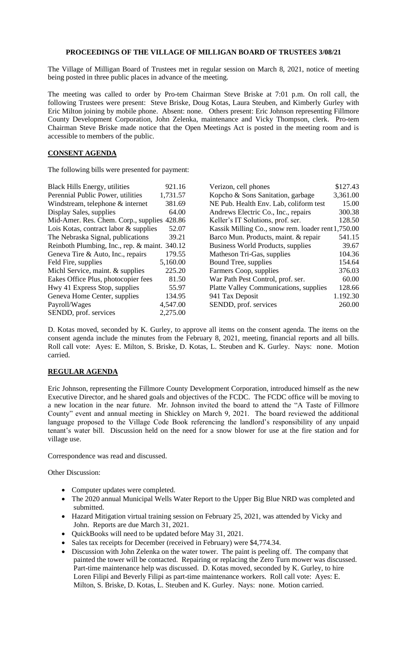## **PROCEEDINGS OF THE VILLAGE OF MILLIGAN BOARD OF TRUSTEES 3/08/21**

The Village of Milligan Board of Trustees met in regular session on March 8, 2021, notice of meeting being posted in three public places in advance of the meeting.

The meeting was called to order by Pro-tem Chairman Steve Briske at 7:01 p.m. On roll call, the following Trustees were present: Steve Briske, Doug Kotas, Laura Steuben, and Kimberly Gurley with Eric Milton joining by mobile phone. Absent: none. Others present: Eric Johnson representing Fillmore County Development Corporation, John Zelenka, maintenance and Vicky Thompson, clerk. Pro-tem Chairman Steve Briske made notice that the Open Meetings Act is posted in the meeting room and is accessible to members of the public.

## **CONSENT AGENDA**

The following bills were presented for payment:

| <b>Black Hills Energy, utilities</b>          | 921.16   | Verizon, cell phones                               | \$127.43 |
|-----------------------------------------------|----------|----------------------------------------------------|----------|
| Perennial Public Power, utilities             | 1,731.57 | Kopcho & Sons Sanitation, garbage                  | 3,361.00 |
| Windstream, telephone & internet              | 381.69   | NE Pub. Health Env. Lab, coliform test             | 15.00    |
| Display Sales, supplies                       | 64.00    | Andrews Electric Co., Inc., repairs                | 300.38   |
| Mid-Amer. Res. Chem. Corp., supplies 428.86   |          | Keller's IT Solutions, prof. ser.                  | 128.50   |
| Lois Kotas, contract labor & supplies         | 52.07    | Kassik Milling Co., snow rem. loader rent 1,750.00 |          |
| The Nebraska Signal, publications             | 39.21    | Barco Mun. Products, maint. & repair               | 541.15   |
| Reinboth Plumbing, Inc., rep. & maint. 340.12 |          | Business World Products, supplies                  | 39.67    |
| Geneva Tire & Auto, Inc., repairs             | 179.55   | Matheson Tri-Gas, supplies                         | 104.36   |
| Feld Fire, supplies                           | 5,160.00 | Bound Tree, supplies                               | 154.64   |
| Michl Service, maint. & supplies              | 225.20   | Farmers Coop, supplies                             | 376.03   |
| Eakes Office Plus, photocopier fees           | 81.50    | War Path Pest Control, prof. ser.                  | 60.00    |
| Hwy 41 Express Stop, supplies                 | 55.97    | <b>Platte Valley Communications, supplies</b>      | 128.66   |
| Geneva Home Center, supplies                  | 134.95   | 941 Tax Deposit                                    | 1.192.30 |
| Payroll/Wages                                 | 4,547.00 | SENDD, prof. services                              | 260.00   |
| SENDD, prof. services                         | 2,275.00 |                                                    |          |

D. Kotas moved, seconded by K. Gurley, to approve all items on the consent agenda. The items on the consent agenda include the minutes from the February 8, 2021, meeting, financial reports and all bills. Roll call vote: Ayes: E. Milton, S. Briske, D. Kotas, L. Steuben and K. Gurley. Nays: none. Motion carried.

## **REGULAR AGENDA**

Eric Johnson, representing the Fillmore County Development Corporation, introduced himself as the new Executive Director, and he shared goals and objectives of the FCDC. The FCDC office will be moving to a new location in the near future. Mr. Johnson invited the board to attend the "A Taste of Fillmore County" event and annual meeting in Shickley on March 9, 2021. The board reviewed the additional language proposed to the Village Code Book referencing the landlord's responsibility of any unpaid tenant's water bill. Discussion held on the need for a snow blower for use at the fire station and for village use.

Correspondence was read and discussed.

Other Discussion:

- Computer updates were completed.
- The 2020 annual Municipal Wells Water Report to the Upper Big Blue NRD was completed and submitted.
- Hazard Mitigation virtual training session on February 25, 2021, was attended by Vicky and John. Reports are due March 31, 2021.
- QuickBooks will need to be updated before May 31, 2021.
- Sales tax receipts for December (received in February) were \$4,774.34.
- Discussion with John Zelenka on the water tower. The paint is peeling off. The company that painted the tower will be contacted. Repairing or replacing the Zero Turn mower was discussed. Part-time maintenance help was discussed. D. Kotas moved, seconded by K. Gurley, to hire Loren Filipi and Beverly Filipi as part-time maintenance workers. Roll call vote: Ayes: E. Milton, S. Briske, D. Kotas, L. Steuben and K. Gurley. Nays: none. Motion carried.